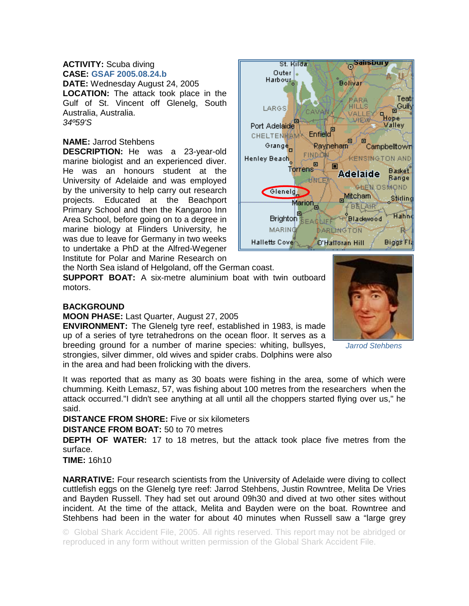## **ACTIVITY:** Scuba diving **CASE: GSAF 2005.08.24.b**

**DATE:** Wednesday August 24, 2005 **LOCATION:** The attack took place in the Gulf of St. Vincent off Glenelg, South Australia, Australia. *34º59'S* 

## **NAME:** Jarrod Stehbens

**DESCRIPTION:** He was a 23-year-old marine biologist and an experienced diver. He was an honours student at the University of Adelaide and was employed by the university to help carry out research projects. Educated at the Beachport Primary School and then the Kangaroo Inn Area School, before going on to a degree in marine biology at Flinders University, he was due to leave for Germany in two weeks to undertake a PhD at the Alfred-Wegener Institute for Polar and Marine Research on



the North Sea island of Helgoland, off the German coast.

**SUPPORT BOAT:** A six-metre aluminium boat with twin outboard motors.

## **BACKGROUND**

**MOON PHASE:** Last Quarter, August 27, 2005

**ENVIRONMENT:** The Glenelg tyre reef, established in 1983, is made up of a series of tyre tetrahedrons on the ocean floor. It serves as a breeding ground for a number of marine species: whiting, bullsyes, strongies, silver dimmer, old wives and spider crabs. Dolphins were also in the area and had been frolicking with the divers.



*Jarrod Stehbens* 

It was reported that as many as 30 boats were fishing in the area, some of which were chumming. Keith Lemasz, 57, was fishing about 100 metres from the researchers when the attack occurred."I didn't see anything at all until all the choppers started flying over us," he said.

**DISTANCE FROM SHORE:** Five or six kilometers

**DISTANCE FROM BOAT:** 50 to 70 metres

**DEPTH OF WATER:** 17 to 18 metres, but the attack took place five metres from the surface.

**TIME:** 16h10

**NARRATIVE:** Four research scientists from the University of Adelaide were diving to collect cuttlefish eggs on the Glenelg tyre reef: Jarrod Stehbens, Justin Rowntree, Melita De Vries and Bayden Russell. They had set out around 09h30 and dived at two other sites without incident. At the time of the attack, Melita and Bayden were on the boat. Rowntree and Stehbens had been in the water for about 40 minutes when Russell saw a "large grey

© Global Shark Accident File, 2005. All rights reserved. This report may not be abridged or reproduced in any form without written permission of the Global Shark Accident File.